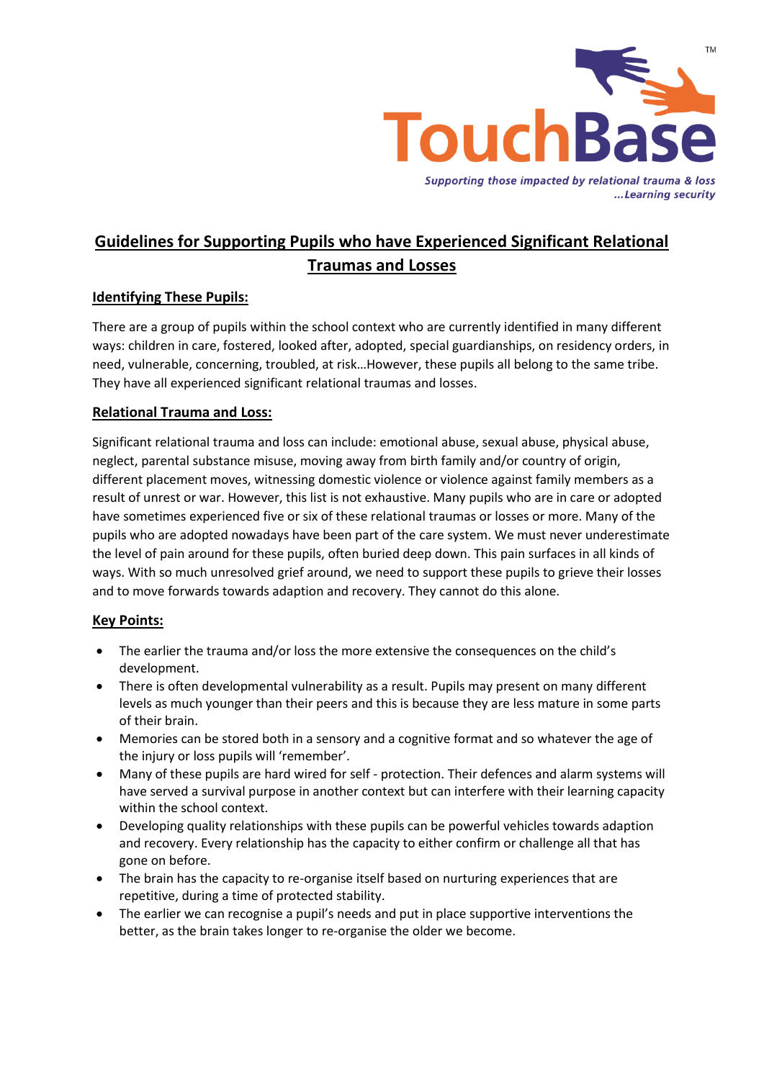

...Learning security

# **Guidelines for Supporting Pupils who have Experienced Significant Relational Traumas and Losses**

# **Identifying These Pupils:**

There are a group of pupils within the school context who are currently identified in many different ways: children in care, fostered, looked after, adopted, special guardianships, on residency orders, in need, vulnerable, concerning, troubled, at risk…However, these pupils all belong to the same tribe. They have all experienced significant relational traumas and losses.

# **Relational Trauma and Loss:**

Significant relational trauma and loss can include: emotional abuse, sexual abuse, physical abuse, neglect, parental substance misuse, moving away from birth family and/or country of origin, different placement moves, witnessing domestic violence or violence against family members as a result of unrest or war. However, this list is not exhaustive. Many pupils who are in care or adopted have sometimes experienced five or six of these relational traumas or losses or more. Many of the pupils who are adopted nowadays have been part of the care system. We must never underestimate the level of pain around for these pupils, often buried deep down. This pain surfaces in all kinds of ways. With so much unresolved grief around, we need to support these pupils to grieve their losses and to move forwards towards adaption and recovery. They cannot do this alone.

## **Key Points:**

- The earlier the trauma and/or loss the more extensive the consequences on the child's development.
- There is often developmental vulnerability as a result. Pupils may present on many different levels as much younger than their peers and this is because they are less mature in some parts of their brain.
- Memories can be stored both in a sensory and a cognitive format and so whatever the age of the injury or loss pupils will 'remember'.
- Many of these pupils are hard wired for self protection. Their defences and alarm systems will have served a survival purpose in another context but can interfere with their learning capacity within the school context.
- Developing quality relationships with these pupils can be powerful vehicles towards adaption and recovery. Every relationship has the capacity to either confirm or challenge all that has gone on before.
- The brain has the capacity to re-organise itself based on nurturing experiences that are repetitive, during a time of protected stability.
- The earlier we can recognise a pupil's needs and put in place supportive interventions the better, as the brain takes longer to re-organise the older we become.